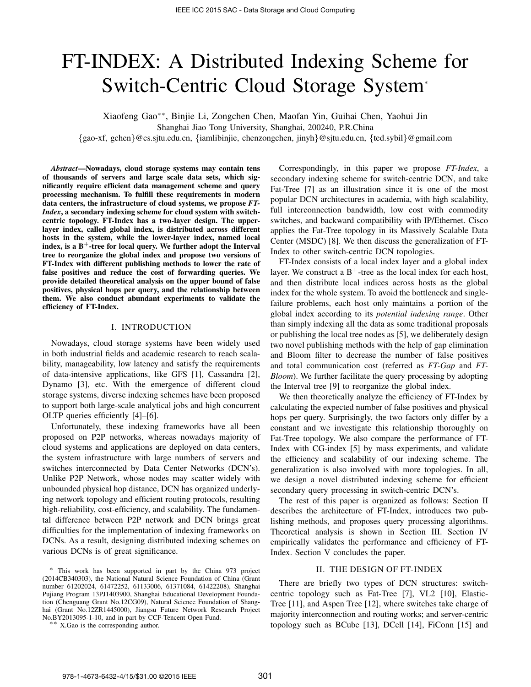# FT-INDEX: A Distributed Indexing Scheme for Switch-Centric Cloud Storage System<sup>∗</sup>

Xiaofeng Gao∗∗, Binjie Li, Zongchen Chen, Maofan Yin, Guihai Chen, Yaohui Jin

Shanghai Jiao Tong University, Shanghai, 200240, P.R.China

{gao-xf, gchen}@cs.sjtu.edu.cn, {iamlibinjie, chenzongchen, jinyh}@sjtu.edu.cn, {ted.sybil}@gmail.com

*Abstract*—Nowadays, cloud storage systems may contain tens of thousands of servers and large scale data sets, which significantly require efficient data management scheme and query processing mechanism. To fulfill these requirements in modern data centers, the infrastructure of cloud systems, we propose *FT-Index*, a secondary indexing scheme for cloud system with switchcentric topology. FT-Index has a two-layer design. The upperlayer index, called global index, is distributed across different hosts in the system, while the lower-layer index, named local index, is a  $B^+$ -tree for local query. We further adopt the Interval tree to reorganize the global index and propose two versions of FT-Index with different publishing methods to lower the rate of false positives and reduce the cost of forwarding queries. We provide detailed theoretical analysis on the upper bound of false positives, physical hops per query, and the relationship between them. We also conduct abundant experiments to validate the efficiency of FT-Index.

## I. INTRODUCTION

Nowadays, cloud storage systems have been widely used in both industrial fields and academic research to reach scalability, manageability, low latency and satisfy the requirements of data-intensive applications, like GFS [1], Cassandra [2], Dynamo [3], etc. With the emergence of different cloud storage systems, diverse indexing schemes have been proposed to support both large-scale analytical jobs and high concurrent OLTP queries efficiently [4]–[6].

Unfortunately, these indexing frameworks have all been proposed on P2P networks, whereas nowadays majority of cloud systems and applications are deployed on data centers, the system infrastructure with large numbers of servers and switches interconnected by Data Center Networks (DCN's). Unlike P2P Network, whose nodes may scatter widely with unbounded physical hop distance, DCN has organized underlying network topology and efficient routing protocols, resulting high-reliability, cost-efficiency, and scalability. The fundamental difference between P2P network and DCN brings great difficulties for the implementation of indexing frameworks on DCNs. As a result, designing distributed indexing schemes on various DCNs is of great significance.

∗∗ X.Gao is the corresponding author.

Correspondingly, in this paper we propose *FT-Index*, a secondary indexing scheme for switch-centric DCN, and take Fat-Tree [7] as an illustration since it is one of the most popular DCN architectures in academia, with high scalability, full interconnection bandwidth, low cost with commodity switches, and backward compatibility with IP/Ethernet. Cisco applies the Fat-Tree topology in its Massively Scalable Data Center (MSDC) [8]. We then discuss the generalization of FT-Index to other switch-centric DCN topologies.

FT-Index consists of a local index layer and a global index layer. We construct a  $B^+$ -tree as the local index for each host, and then distribute local indices across hosts as the global index for the whole system. To avoid the bottleneck and singlefailure problems, each host only maintains a portion of the global index according to its *potential indexing range*. Other than simply indexing all the data as some traditional proposals or publishing the local tree nodes as [5], we deliberately design two novel publishing methods with the help of gap elimination and Bloom filter to decrease the number of false positives and total communication cost (referred as *FT-Gap* and *FT-Bloom*). We further facilitate the query processing by adopting the Interval tree [9] to reorganize the global index.

We then theoretically analyze the efficiency of FT-Index by calculating the expected number of false positives and physical hops per query. Surprisingly, the two factors only differ by a constant and we investigate this relationship thoroughly on Fat-Tree topology. We also compare the performance of FT-Index with CG-index [5] by mass experiments, and validate the efficiency and scalability of our indexing scheme. The generalization is also involved with more topologies. In all, we design a novel distributed indexing scheme for efficient secondary query processing in switch-centric DCN's.

The rest of this paper is organized as follows: Section II describes the architecture of FT-Index, introduces two publishing methods, and proposes query processing algorithms. Theoretical analysis is shown in Section III. Section IV empirically validates the performance and efficiency of FT-Index. Section V concludes the paper.

# II. THE DESIGN OF FT-INDEX

There are briefly two types of DCN structures: switchcentric topology such as Fat-Tree [7], VL2 [10], Elastic-Tree [11], and Aspen Tree [12], where switches take charge of majority interconnection and routing works; and server-centric topology such as BCube [13], DCell [14], FiConn [15] and

<sup>∗</sup> This work has been supported in part by the China 973 project (2014CB340303), the National Natural Science Foundation of China (Grant number 61202024, 61472252, 61133006, 61371084, 61422208), Shanghai Pujiang Program 13PJ1403900, Shanghai Educational Development Foundation (Chenguang Grant No.12CG09), Natural Science Foundation of Shanghai (Grant No.12ZR1445000), Jiangsu Future Network Research Project No.BY2013095-1-10, and in part by CCF-Tencent Open Fund.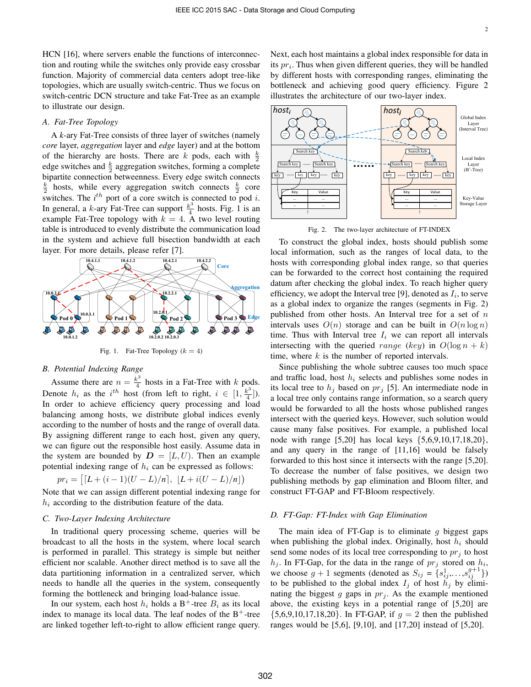HCN [16], where servers enable the functions of interconnection and routing while the switches only provide easy crossbar function. Majority of commercial data centers adopt tree-like topologies, which are usually switch-centric. Thus we focus on switch-centric DCN structure and take Fat-Tree as an example to illustrate our design.

## *A. Fat-Tree Topology*

A *k*-ary Fat-Tree consists of three layer of switches (namely *core* layer, *aggregation* layer and *edge* layer) and at the bottom of the hierarchy are hosts. There are k pods, each with  $\frac{k}{2}$ edge switches and  $\frac{k}{2}$  aggregation switches, forming a complete bipartite connection betweenness. Every edge switch connects  $\frac{k}{2}$  hosts, while every aggregation switch connects  $\frac{k}{2}$  core switches. The  $i^{th}$  port of a core switch is connected to pod  $i$ . In general, a k-ary Fat-Tree can support  $\frac{k^3}{4}$  $rac{\varepsilon^6}{4}$  hosts. Fig. 1 is an example Fat-Tree topology with  $k = 4$ . A two level routing table is introduced to evenly distribute the communication load in the system and achieve full bisection bandwidth at each layer. For more details, please refer [7].



Fig. 1. Fat-Tree Topology  $(k = 4)$ 

# *B. Potential Indexing Range*

Assume there are  $n = \frac{k^3}{4}$  $\frac{e^{6}}{4}$  hosts in a Fat-Tree with k pods. Denote  $h_i$  as the i<sup>th</sup> host (from left to right,  $i \in [1, \frac{k^3}{4}]$  $\frac{\binom{c}{1}}{4}$ . In order to achieve efficiency query processing and load balancing among hosts, we distribute global indices evenly according to the number of hosts and the range of overall data. By assigning different range to each host, given any query, we can figure out the responsible host easily. Assume data in the system are bounded by  $D = [L, U)$ . Then an example potential indexing range of  $h_i$  can be expressed as follows:

$$
pr_i = \left[ \left[ L + (i-1)(U-L)/n \right], \ \left[ L + i(U-L)/n \right] \right)
$$

Note that we can assign different potential indexing range for  $h_i$  according to the distribution feature of the data.

#### *C. Two-Layer Indexing Architecture*

In traditional query processing scheme, queries will be broadcast to all the hosts in the system, where local search is performed in parallel. This strategy is simple but neither efficient nor scalable. Another direct method is to save all the data partitioning information in a centralized server, which needs to handle all the queries in the system, consequently forming the bottleneck and bringing load-balance issue.

In our system, each host  $h_i$  holds a B<sup>+</sup>-tree  $B_i$  as its local index to manage its local data. The leaf nodes of the  $B^+$ -tree are linked together left-to-right to allow efficient range query. Next, each host maintains a global index responsible for data in its  $pr_i$ . Thus when given different queries, they will be handled by different hosts with corresponding ranges, eliminating the bottleneck and achieving good query efficiency. Figure 2 illustrates the architecture of our two-layer index.



Fig. 2. The two-layer architecture of FT-INDEX

To construct the global index, hosts should publish some local information, such as the ranges of local data, to the hosts with corresponding global index range, so that queries can be forwarded to the correct host containing the required datum after checking the global index. To reach higher query efficiency, we adopt the Interval tree [9], denoted as  $I_i$ , to serve as a global index to organize the ranges (segments in Fig. 2) published from other hosts. An Interval tree for a set of  $n$ intervals uses  $O(n)$  storage and can be built in  $O(n \log n)$ time. Thus with Interval tree  $I_i$  we can report all intervals intersecting with the queried range (key) in  $O(\log n + k)$ time, where  $k$  is the number of reported intervals.

Since publishing the whole subtree causes too much space and traffic load, host  $h_i$  selects and publishes some nodes in its local tree to  $h_i$  based on  $pr_i$  [5]. An intermediate node in a local tree only contains range information, so a search query would be forwarded to all the hosts whose published ranges intersect with the queried keys. However, such solution would cause many false positives. For example, a published local node with range [5,20] has local keys {5,6,9,10,17,18,20}, and any query in the range of [11,16] would be falsely forwarded to this host since it intersects with the range [5,20]. To decrease the number of false positives, we design two publishing methods by gap elimination and Bloom filter, and construct FT-GAP and FT-Bloom respectively.

## *D. FT-Gap: FT-Index with Gap Elimination*

The main idea of FT-Gap is to eliminate q biggest gaps when publishing the global index. Originally, host  $h_i$  should send some nodes of its local tree corresponding to  $pr_j$  to host  $h_j$ . In FT-Gap, for the data in the range of  $pr_j$  stored on  $h_i$ , we choose  $g + 1$  segments (denoted as  $S_{ij} = \{s_{ij}^1, \ldots, s_{ij}^{g+1}\}\$ ) to be published to the global index  $I_j$  of host  $\tilde{h}_j$  by eliminating the biggest g gaps in  $pr_j$ . As the example mentioned above, the existing keys in a potential range of [5,20] are  ${5,6,9,10,17,18,20}$ . In FT-GAP, if  $g = 2$  then the published ranges would be [5,6], [9,10], and [17,20] instead of [5,20].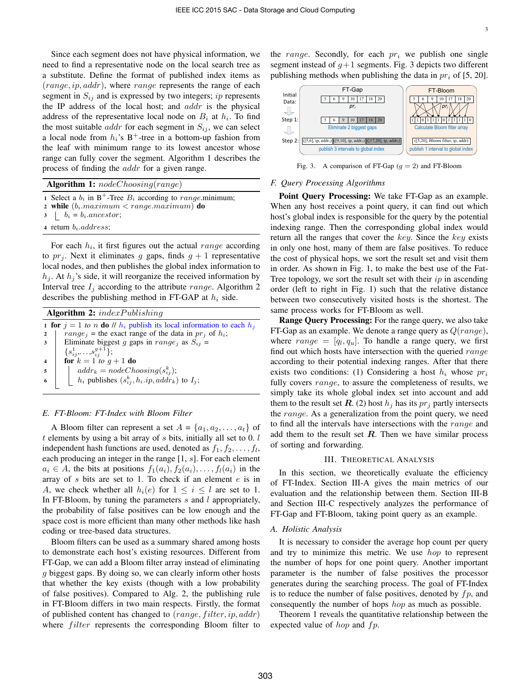Since each segment does not have physical information, we need to find a representative node on the local search tree as a substitute. Define the format of published index items as (range, ip, addr), where range represents the range of each segment in  $S_{ij}$  and is expressed by two integers; ip represents the IP address of the local host; and  $addr$  is the physical address of the representative local node on  $B_i$  at  $h_i$ . To find the most suitable *addr* for each segment in  $S_{ij}$ , we can select a local node from  $h_i$ 's B<sup>+</sup>-tree in a bottom-up fashion from the leaf with minimum range to its lowest ancestor whose range can fully cover the segment. Algorithm 1 describes the process of finding the addr for a given range.

| <b>Algorithm 1:</b> $nodeChoosing(range)$ |                                                                            |  |  |  |  |  |  |
|-------------------------------------------|----------------------------------------------------------------------------|--|--|--|--|--|--|
|                                           | 1 Select a $b_i$ in B <sup>+</sup> -Tree $B_i$ according to range minimum; |  |  |  |  |  |  |
|                                           | 2 while $(b_i.maximum < range.maximum)$ do                                 |  |  |  |  |  |  |
|                                           | $\mid b_i = b_i$ ancestor;                                                 |  |  |  |  |  |  |
|                                           | 4 return $b_i$ <i>address</i> ;                                            |  |  |  |  |  |  |

For each  $h_i$ , it first figures out the actual *range* according to  $pr_i$ . Next it eliminates g gaps, finds  $g + 1$  representative local nodes, and then publishes the global index information to  $h_i$ . At  $h_i$ 's side, it will reorganize the received information by Interval tree  $I_i$  according to the attribute *range*. Algorithm 2 describes the publishing method in FT-GAP at  $h_i$  side.

| <b>Algorithm 2:</b> $indexPublished in the$ |                                                                                                                              |  |  |  |  |  |  |  |
|---------------------------------------------|------------------------------------------------------------------------------------------------------------------------------|--|--|--|--|--|--|--|
|                                             | 1 for $i = 1$ to n do // $h_i$ publish its local information to each $h_i$                                                   |  |  |  |  |  |  |  |
| $\overline{2}$                              | $range_i$ = the exact range of the data in $pr_i$ of $h_i$ ;                                                                 |  |  |  |  |  |  |  |
| 3 <sup>1</sup>                              | Eliminate biggest g gaps in $range_i$ as $S_{ij}$ =                                                                          |  |  |  |  |  |  |  |
|                                             | $\{s_{ij}^1, \ldots, s_{ii}^{g+1}\};$                                                                                        |  |  |  |  |  |  |  |
|                                             | for $k = 1$ to $g + 1$ do                                                                                                    |  |  |  |  |  |  |  |
| 5                                           | $\begin{cases} addr_k = nodeChoosing(s_{ij}^k); \\ h_i$ publishes $(s_{ij}^k, h_i \text{.}ip, addr_k)$ to $I_j; \end{cases}$ |  |  |  |  |  |  |  |
| 6                                           |                                                                                                                              |  |  |  |  |  |  |  |
|                                             |                                                                                                                              |  |  |  |  |  |  |  |

#### *E. FT-Bloom: FT-Index with Bloom Filter*

A Bloom filter can represent a set  $A = \{a_1, a_2, \ldots, a_t\}$  of  $t$  elements by using a bit array of  $s$  bits, initially all set to 0.  $l$ independent hash functions are used, denoted as  $f_1, f_2, \ldots, f_l$ , each producing an integer in the range [1, s]. For each element  $a_i \in A$ , the bits at positions  $f_1(a_i), f_2(a_i), \ldots, f_l(a_i)$  in the array of  $s$  bits are set to 1. To check if an element  $e$  is in A, we check whether all  $h_i(e)$  for  $1 \leq i \leq l$  are set to 1. In FT-Bloom, by tuning the parameters  $s$  and  $l$  appropriately, the probability of false positives can be low enough and the space cost is more efficient than many other methods like hash coding or tree-based data structures.

Bloom filters can be used as a summary shared among hosts to demonstrate each host's existing resources. Different from FT-Gap, we can add a Bloom filter array instead of eliminating g biggest gaps. By doing so, we can clearly inform other hosts that whether the key exists (though with a low probability of false positives). Compared to Alg. 2, the publishing rule in FT-Bloom differs in two main respects. Firstly, the format of published content has changed to  $(range, filter, ip, addr)$ where *filter* represents the corresponding Bloom filter to the range. Secondly, for each  $pr_i$  we publish one single segment instead of  $g+1$  segments. Fig. 3 depicts two different publishing methods when publishing the data in  $pr_i$  of [5, 20].



Fig. 3. A comparison of FT-Gap  $(g = 2)$  and FT-Bloom

#### *F. Query Processing Algorithms*

Point Query Processing: We take FT-Gap as an example. When any host receives a point query, it can find out which host's global index is responsible for the query by the potential indexing range. Then the corresponding global index would return all the ranges that cover the key. Since the key exists in only one host, many of them are false positives. To reduce the cost of physical hops, we sort the result set and visit them in order. As shown in Fig. 1, to make the best use of the Fat-Tree topology, we sort the result set with their  $ip$  in ascending order (left to right in Fig. 1) such that the relative distance between two consecutively visited hosts is the shortest. The same process works for FT-Bloom as well.

Range Query Processing: For the range query, we also take FT-Gap as an example. We denote a range query as  $Q(range)$ , where  $range = [q_l, q_u]$ . To handle a range query, we first find out which hosts have intersection with the queried  $range$ according to their potential indexing ranges. After that there exists two conditions: (1) Considering a host  $h_i$  whose  $pr_i$ fully covers *range*, to assure the completeness of results, we simply take its whole global index set into account and add them to the result set  $\mathbf{R}$ . (2) host  $h_j$  has its  $pr_j$  partly intersects the *range*. As a generalization from the point query, we need to find all the intervals have intersections with the range and add them to the result set  $R$ . Then we have similar process of sorting and forwarding.

#### III. THEORETICAL ANALYSIS

In this section, we theoretically evaluate the efficiency of FT-Index. Section III-A gives the main metrics of our evaluation and the relationship between them. Section III-B and Section III-C respectively analyzes the performance of FT-Gap and FT-Bloom, taking point query as an example.

## *A. Holistic Analysis*

It is necessary to consider the average hop count per query and try to minimize this metric. We use hop to represent the number of hops for one point query. Another important parameter is the number of false positives the processor generates during the searching process. The goal of FT-Index is to reduce the number of false positives, denoted by  $fp$ , and consequently the number of hops *hop* as much as possible.

Theorem 1 reveals the quantitative relationship between the expected value of  $hop$  and  $fp$ .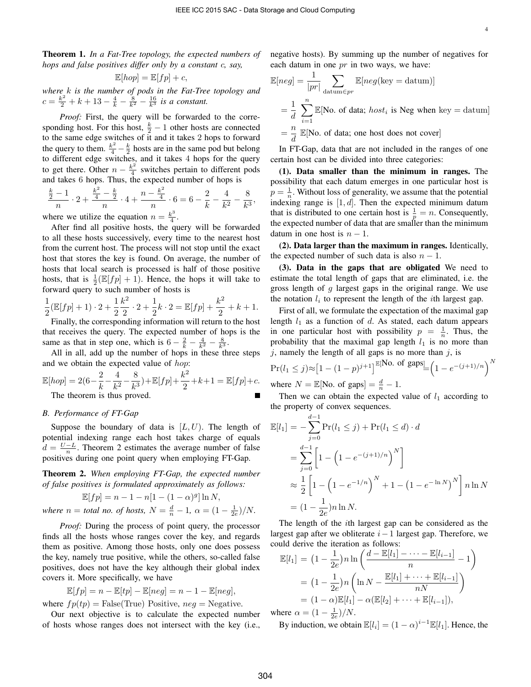4

Theorem 1. *In a Fat-Tree topology, the expected numbers of hops and false positives differ only by a constant* c*, say,*

$$
\mathbb{E}[hop] = \mathbb{E}[fp] + c,
$$

*where* k *is the number of pods in the Fat-Tree topology and*  $c = \frac{k^2}{2} + k + 13 - \frac{4}{k} - \frac{8}{k^2} - \frac{16}{k^3}$  *is a constant.* 

*Proof:* First, the query will be forwarded to the corresponding host. For this host,  $\frac{k}{2} - 1$  other hosts are connected to the same edge switches of it and it takes 2 hops to forward the query to them.  $\frac{k^2}{4} - \frac{k}{2}$  hosts are in the same pod but belong to different edge switches, and it takes 4 hops for the query to get there. Other  $n - \frac{k^2}{4}$  $rac{c^2}{4}$  switches pertain to different pods and takes 6 hops. Thus, the expected number of hops is

$$
\frac{\frac{k}{2}-1}{n} \cdot 2 + \frac{\frac{k^2}{4}-\frac{k}{2}}{n} \cdot 4 + \frac{n - \frac{k^2}{4}}{n} \cdot 6 = 6 - \frac{2}{k} - \frac{4}{k^2} - \frac{8}{k^3},
$$
  
where we utilize the equation  $n - \frac{k^3}{2}$ 

where we utilize the equation  $n = \frac{k^3}{4}$  $rac{c^3}{4}$ .

After find all positive hosts, the query will be forwarded to all these hosts successively, every time to the nearest host from the current host. The process will not stop until the exact host that stores the key is found. On average, the number of hosts that local search is processed is half of those positive hosts, that is  $\frac{1}{2}(\mathbb{E}[fp] + 1)$ . Hence, the hops it will take to forward query to such number of hosts is

$$
\frac{1}{2}(\mathbb{E}[fp] + 1) \cdot 2 + \frac{1}{2}\frac{k^2}{2} \cdot 2 + \frac{1}{2}k \cdot 2 = \mathbb{E}[fp] + \frac{k^2}{2} + k + 1.
$$

Finally, the corresponding information will return to the host that receives the query. The expected number of hops is the same as that in step one, which is  $6 - \frac{2}{k} - \frac{4}{k^2} - \frac{8}{k^3}$ .

All in all, add up the number of hops in these three steps and we obtain the expected value of hop:

$$
\mathbb{E}[hop] = 2(6 - \frac{2}{k} - \frac{4}{k^2} - \frac{8}{k^3}) + \mathbb{E}[fp] + \frac{k^2}{2} + k + 1 = \mathbb{E}[fp] + c.
$$
  
The theorem is thus proved.

# *B. Performance of FT-Gap*

Suppose the boundary of data is  $[L, U]$ . The length of potential indexing range each host takes charge of equals  $d = \frac{U - L}{n}$ . Theorem 2 estimates the average number of false positives during one point query when employing FT-Gap.

Theorem 2. *When employing FT-Gap, the expected number of false positives is formulated approximately as follows:*

$$
\mathbb{E}[fp] = n - 1 - n[1 - (1 - \alpha)^g] \ln N,
$$
  
where  $n =$  total no. of hosts,  $N = \frac{d}{n} - 1$ ,  $\alpha = (1 - \frac{1}{2e})/N$ .

*Proof:* During the process of point query, the processor finds all the hosts whose ranges cover the key, and regards them as positive. Among those hosts, only one does possess the key, namely true positive, while the others, so-called false positives, does not have the key although their global index covers it. More specifically, we have

$$
\mathbb{E}[fp] = n - \mathbb{E}[tp] - \mathbb{E}[neg] = n - 1 - \mathbb{E}[neg],
$$

where  $fp(tp) = False(\text{True})$  Positive,  $neg = Negative$ .

Our next objective is to calculate the expected number of hosts whose ranges does not intersect with the key (i.e., negative hosts). By summing up the number of negatives for each datum in one  $pr$  in two ways, we have:

$$
\mathbb{E}[neg] = \frac{1}{|pr|} \sum_{\text{datum} \in pr} \mathbb{E}[neg(\text{key} = \text{datum})]
$$

$$
= \frac{1}{d} \sum_{i=1}^{n} \mathbb{E}[\text{No. of data; } host_i \text{ is Neg when key} = \text{datum}]
$$

$$
= \frac{n}{d} \mathbb{E}[\text{No. of data; one host does not cover}]
$$

In FT-Gap, data that are not included in the ranges of one certain host can be divided into three categories:

(1). Data smaller than the minimum in ranges. The possibility that each datum emerges in one particular host is  $p = \frac{1}{n}$ . Without loss of generality, we assume that the potential indexing range is  $[1, d]$ . Then the expected minimum datum that is distributed to one certain host is  $\frac{1}{p} = n$ . Consequently, the expected number of data that are smaller than the minimum datum in one host is  $n - 1$ .

(2). Data larger than the maximum in ranges. Identically, the expected number of such data is also  $n - 1$ .

(3). Data in the gaps that are obligated We need to estimate the total length of gaps that are eliminated, i.e. the gross length of  $g$  largest gaps in the original range. We use the notation  $l_i$  to represent the length of the *i*th largest gap.

First of all, we formulate the expectation of the maximal gap length  $l_1$  as a function of d. As stated, each datum appears in one particular host with possibility  $p = \frac{1}{n}$ . Thus, the probability that the maximal gap length  $l_1$  is no more than  $j$ , namely the length of all gaps is no more than  $j$ , is

$$
\Pr(l_1 \le j) \approx [1 - (1 - p)^{j+1}]^{\mathbb{E}[\text{No. of gaps}]} = \left(1 - e^{-(j+1)/n}\right)^N
$$
  
where  $N = \mathbb{E}[\text{No. of gaps}] = \frac{d}{n} - 1$ 

where  $N = \mathbb{E}[\text{No. of gaps}] = \frac{d}{n} - 1$ .

Then we can obtain the expected value of  $l_1$  according to the property of convex sequences.

$$
\mathbb{E}[l_1] = -\sum_{j=0}^{d-1} \Pr(l_1 \le j) + \Pr(l_1 \le d) \cdot d
$$
  
= 
$$
\sum_{j=0}^{d-1} \left[ 1 - \left( 1 - e^{-(j+1)/n} \right)^N \right]
$$
  

$$
\approx \frac{1}{2} \left[ 1 - \left( 1 - e^{-1/n} \right)^N + 1 - \left( 1 - e^{-\ln N} \right)^N \right] n \ln N
$$
  
= 
$$
(1 - \frac{1}{2e}) n \ln N.
$$

The length of the ith largest gap can be considered as the largest gap after we obliterate  $i-1$  largest gap. Therefore, we could derive the iteration as follows:

$$
\mathbb{E}[l_1] = (1 - \frac{1}{2e})n \ln \left( \frac{d - \mathbb{E}[l_1] - \dots - \mathbb{E}[l_{i-1}]}{n} - 1 \right)
$$
  
=  $(1 - \frac{1}{2e})n \left( \ln N - \frac{\mathbb{E}[l_1] + \dots + \mathbb{E}[l_{i-1}]}{nN} \right)$   
=  $(1 - \alpha)\mathbb{E}[l_1] - \alpha(\mathbb{E}[l_2] + \dots + \mathbb{E}[l_{i-1}]),$ 

where  $\alpha = (1 - \frac{1}{2e})/N$ .

By induction, we obtain  $\mathbb{E}[l_i] = (1 - \alpha)^{i-1} \mathbb{E}[l_1]$ . Hence, the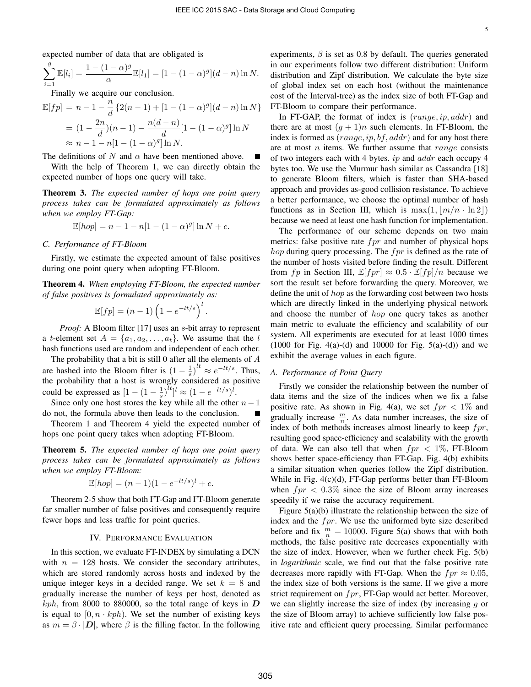expected number of data that are obligated is

$$
\sum_{i=1}^{g} \mathbb{E}[l_i] = \frac{1 - (1 - \alpha)^g}{\alpha} \mathbb{E}[l_1] = [1 - (1 - \alpha)^g](d - n) \ln N.
$$

Finally we acquire our conclusion.

$$
\mathbb{E}[fp] = n - 1 - \frac{n}{d} \{2(n-1) + [1 - (1 - \alpha)^g](d - n) \ln N\}
$$
  
=  $(1 - \frac{2n}{d})(n-1) - \frac{n(d-n)}{d}[1 - (1 - \alpha)^g] \ln N$   
 $\approx n - 1 - n[1 - (1 - \alpha)^g] \ln N.$ 

The definitions of N and  $\alpha$  have been mentioned above.

With the help of Theorem 1, we can directly obtain the expected number of hops one query will take.

Theorem 3. *The expected number of hops one point query process takes can be formulated approximately as follows when we employ FT-Gap:*

$$
\mathbb{E}[hop] = n - 1 - n[1 - (1 - \alpha)^g] \ln N + c.
$$

#### *C. Performance of FT-Bloom*

Firstly, we estimate the expected amount of false positives during one point query when adopting FT-Bloom.

Theorem 4. *When employing FT-Bloom, the expected number of false positives is formulated approximately as:*

$$
\mathbb{E}[fp] = (n-1)\left(1 - e^{-lt/s}\right)^l.
$$

*Proof:* A Bloom filter [17] uses an *s*-bit array to represent a *t*-element set  $A = \{a_1, a_2, \ldots, a_t\}$ . We assume that the l hash functions used are random and independent of each other.

The probability that a bit is still 0 after all the elements of  $A$ are hashed into the Bloom filter is  $(1 - \frac{1}{s})^{lt} \approx e^{-lt/s}$ . Thus, the probability that a host is wrongly considered as positive could be expressed as  $[1 - (1 - \frac{1}{s})^{tt}]^t \approx (1 - e^{-lt/s})^t$ .

Since only one host stores the key while all the other  $n-1$ do not, the formula above then leads to the conclusion.

Theorem 1 and Theorem 4 yield the expected number of hops one point query takes when adopting FT-Bloom.

Theorem 5. *The expected number of hops one point query process takes can be formulated approximately as follows when we employ FT-Bloom:*

$$
\mathbb{E}[hop] = (n-1)(1 - e^{-lt/s})^l + c.
$$

Theorem 2-5 show that both FT-Gap and FT-Bloom generate far smaller number of false positives and consequently require fewer hops and less traffic for point queries.

## IV. PERFORMANCE EVALUATION

In this section, we evaluate FT-INDEX by simulating a DCN with  $n = 128$  hosts. We consider the secondary attributes, which are stored randomly across hosts and indexed by the unique integer keys in a decided range. We set  $k = 8$  and gradually increase the number of keys per host, denoted as  $kph$ , from 8000 to 880000, so the total range of keys in  $\boldsymbol{D}$ is equal to  $[0, n \cdot kph)$ . We set the number of existing keys as  $m = \beta \cdot |D|$ , where  $\beta$  is the filling factor. In the following

experiments,  $\beta$  is set as 0.8 by default. The queries generated in our experiments follow two different distribution: Uniform distribution and Zipf distribution. We calculate the byte size of global index set on each host (without the maintenance cost of the Interval-tree) as the index size of both FT-Gap and FT-Bloom to compare their performance.

In FT-GAP, the format of index is  $(range, ip, addr)$  and there are at most  $(g + 1)n$  such elements. In FT-Bloom, the index is formed as  $(range, ip, bf, addr)$  and for any host there are at most  $n$  items. We further assume that  $range$  consists of two integers each with 4 bytes. ip and addr each occupy 4 bytes too. We use the Murmur hash similar as Cassandra [18] to generate Bloom filters, which is faster than SHA-based approach and provides as-good collision resistance. To achieve a better performance, we choose the optimal number of hash functions as in Section III, which is  $\max(1, \lfloor m/n \cdot \ln 2 \rfloor)$ because we need at least one hash function for implementation.

The performance of our scheme depends on two main metrics: false positive rate  $fpr$  and number of physical hops *hop* during query processing. The  $fpr$  is defined as the rate of the number of hosts visited before finding the result. Different from fp in Section III,  $\mathbb{E}[fpr] \approx 0.5 \cdot \mathbb{E}[fpr] / n$  because we sort the result set before forwarding the query. Moreover, we define the unit of hop as the forwarding cost between two hosts which are directly linked in the underlying physical network and choose the number of hop one query takes as another main metric to evaluate the efficiency and scalability of our system. All experiments are executed for at least 1000 times  $(1000$  for Fig. 4(a)-(d) and 10000 for Fig. 5(a)-(d)) and we exhibit the average values in each figure.

## *A. Performance of Point Query*

Firstly we consider the relationship between the number of data items and the size of the indices when we fix a false positive rate. As shown in Fig. 4(a), we set  $fpr < 1\%$  and gradually increase  $\frac{m}{n}$ . As data number increases, the size of index of both methods increases almost linearly to keep  $fpr$ , resulting good space-efficiency and scalability with the growth of data. We can also tell that when  $fpr < 1\%$ , FT-Bloom shows better space-efficiency than FT-Gap. Fig. 4(b) exhibits a similar situation when queries follow the Zipf distribution. While in Fig. 4(c)(d), FT-Gap performs better than FT-Bloom when  $fpr < 0.3\%$  since the size of Bloom array increases speedily if we raise the accuracy requirement.

Figure 5(a)(b) illustrate the relationship between the size of index and the  $fpr$ . We use the uniformed byte size described before and fix  $\frac{m}{n} = 10000$ . Figure 5(a) shows that with both methods, the false positive rate decreases exponentially with the size of index. However, when we further check Fig. 5(b) in *logarithmic* scale, we find out that the false positive rate decreases more rapidly with FT-Gap. When the  $fpr \approx 0.05$ , the index size of both versions is the same. If we give a more strict requirement on  $fpr$ , FT-Gap would act better. Moreover, we can slightly increase the size of index (by increasing  $q$  or the size of Bloom array) to achieve sufficiently low false positive rate and efficient query processing. Similar performance